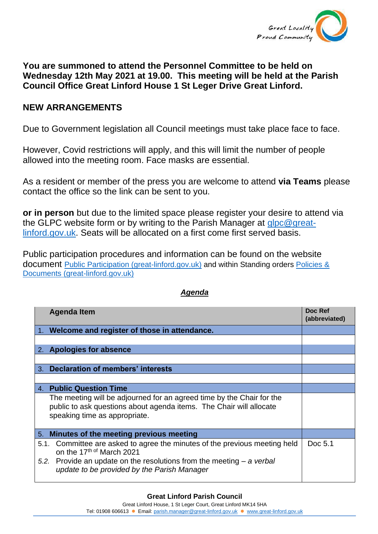

## **You are summoned to attend the Personnel Committee to be held on Wednesday 12th May 2021 at 19.00. This meeting will be held at the Parish Council Office Great Linford House 1 St Leger Drive Great Linford.**

## **NEW ARRANGEMENTS**

Due to Government legislation all Council meetings must take place face to face.

However, Covid restrictions will apply, and this will limit the number of people allowed into the meeting room. Face masks are essential.

As a resident or member of the press you are welcome to attend **via Teams** please contact the office so the link can be sent to you.

**or in person** but due to the limited space please register your desire to attend via the GLPC website form or by writing to the Parish Manager at [glpc@great](mailto:glpc@great-linford.gov.uk)[linford.gov.uk.](mailto:glpc@great-linford.gov.uk) Seats will be allocated on a first come first served basis.

Public participation procedures and information can be found on the website document [Public Participation \(great-linford.gov.uk\)](https://www.great-linford.gov.uk/council-meetings/public-participation/) and within Standing orders [Policies &](https://www.great-linford.gov.uk/the-parish-council/policies-documents/)  [Documents \(great-linford.gov.uk\)](https://www.great-linford.gov.uk/the-parish-council/policies-documents/)

| <b>Agenda Item</b>                                                                                                                                                                                                                  |  | Doc Ref<br>(abbreviated) |
|-------------------------------------------------------------------------------------------------------------------------------------------------------------------------------------------------------------------------------------|--|--------------------------|
| 1. Welcome and register of those in attendance.                                                                                                                                                                                     |  |                          |
|                                                                                                                                                                                                                                     |  |                          |
| 2. Apologies for absence                                                                                                                                                                                                            |  |                          |
|                                                                                                                                                                                                                                     |  |                          |
| 3. Declaration of members' interests                                                                                                                                                                                                |  |                          |
|                                                                                                                                                                                                                                     |  |                          |
| 4. Public Question Time                                                                                                                                                                                                             |  |                          |
| The meeting will be adjourned for an agreed time by the Chair for the<br>public to ask questions about agenda items. The Chair will allocate<br>speaking time as appropriate.                                                       |  |                          |
| Minutes of the meeting previous meeting<br>5.                                                                                                                                                                                       |  |                          |
| Committee are asked to agree the minutes of the previous meeting held<br>5.1.<br>on the 17th of March 2021<br>5.2. Provide an update on the resolutions from the meeting $-a$ verbal<br>update to be provided by the Parish Manager |  | Doc 5.1                  |

## *Agenda*